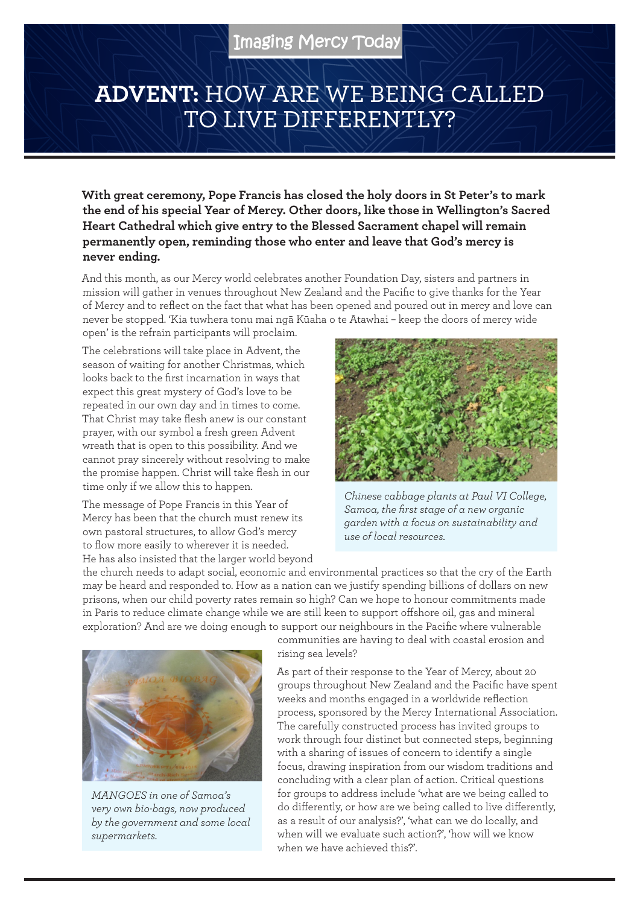## **ADVENT:** HOW ARE WE BEING CALLED TO LIVE DIFFERENTLY?

**With great ceremony, Pope Francis has closed the holy doors in St Peter's to mark the end of his special Year of Mercy. Other doors, like those in Wellington's Sacred Heart Cathedral which give entry to the Blessed Sacrament chapel will remain permanently open, reminding those who enter and leave that God's mercy is never ending.**

And this month, as our Mercy world celebrates another Foundation Day, sisters and partners in mission will gather in venues throughout New Zealand and the Pacific to give thanks for the Year of Mercy and to reflect on the fact that what has been opened and poured out in mercy and love can never be stopped. 'Kia tuwhera tonu mai ngā Kūaha o te Atawhai – keep the doors of mercy wide open' is the refrain participants will proclaim.

The celebrations will take place in Advent, the season of waiting for another Christmas, which looks back to the first incarnation in ways that expect this great mystery of God's love to be repeated in our own day and in times to come. That Christ may take flesh anew is our constant prayer, with our symbol a fresh green Advent wreath that is open to this possibility. And we cannot pray sincerely without resolving to make the promise happen. Christ will take flesh in our time only if we allow this to happen.

The message of Pope Francis in this Year of Mercy has been that the church must renew its own pastoral structures, to allow God's mercy to flow more easily to wherever it is needed. He has also insisted that the larger world beyond



*Chinese cabbage plants at Paul VI College, Samoa, the first stage of a new organic garden with a focus on sustainability and use of local resources.*

the church needs to adapt social, economic and environmental practices so that the cry of the Earth may be heard and responded to. How as a nation can we justify spending billions of dollars on new prisons, when our child poverty rates remain so high? Can we hope to honour commitments made in Paris to reduce climate change while we are still keen to support offshore oil, gas and mineral exploration? And are we doing enough to support our neighbours in the Pacific where vulnerable



*MANGOES in one of Samoa's very own bio-bags, now produced by the government and some local supermarkets.*

communities are having to deal with coastal erosion and rising sea levels?

As part of their response to the Year of Mercy, about 20 groups throughout New Zealand and the Pacific have spent weeks and months engaged in a worldwide reflection process, sponsored by the Mercy International Association. The carefully constructed process has invited groups to work through four distinct but connected steps, beginning with a sharing of issues of concern to identify a single focus, drawing inspiration from our wisdom traditions and concluding with a clear plan of action. Critical questions for groups to address include 'what are we being called to do differently, or how are we being called to live differently, as a result of our analysis?', 'what can we do locally, and when will we evaluate such action?', 'how will we know when we have achieved this?'.